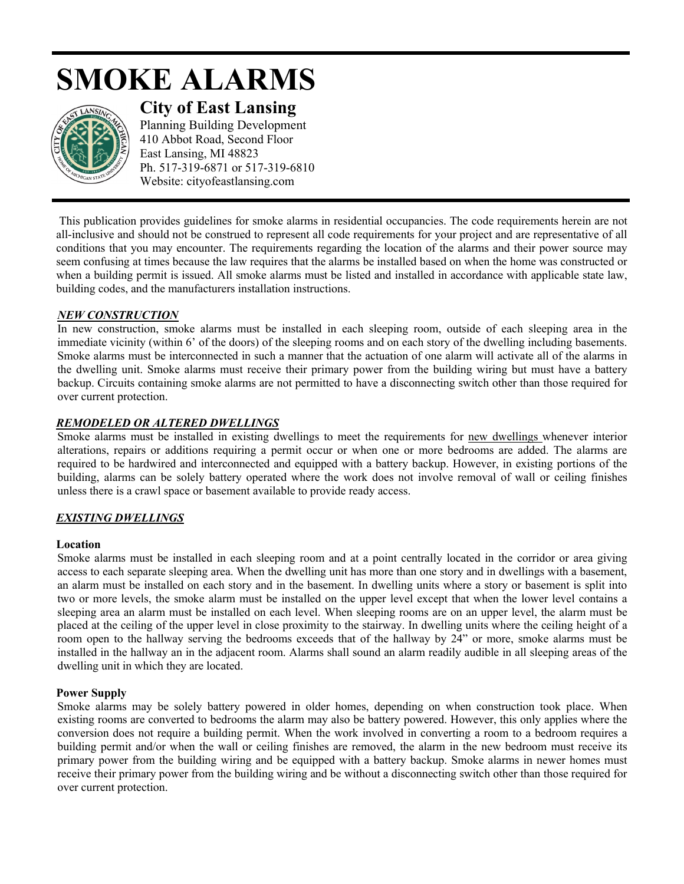# **SMOKE ALARMS**



**City of East Lansing** 

Planning Building Development 410 Abbot Road, Second Floor East Lansing, MI 48823 Ph. 517-319-6871 or 517-319-6810 Website: cityofeastlansing.com

This publication provides guidelines for smoke alarms in residential occupancies. The code requirements herein are not all-inclusive and should not be construed to represent all code requirements for your project and are representative of all conditions that you may encounter. The requirements regarding the location of the alarms and their power source may seem confusing at times because the law requires that the alarms be installed based on when the home was constructed or when a building permit is issued. All smoke alarms must be listed and installed in accordance with applicable state law, building codes, and the manufacturers installation instructions.

# *NEW CONSTRUCTION*

In new construction, smoke alarms must be installed in each sleeping room, outside of each sleeping area in the immediate vicinity (within 6' of the doors) of the sleeping rooms and on each story of the dwelling including basements. Smoke alarms must be interconnected in such a manner that the actuation of one alarm will activate all of the alarms in the dwelling unit. Smoke alarms must receive their primary power from the building wiring but must have a battery backup. Circuits containing smoke alarms are not permitted to have a disconnecting switch other than those required for over current protection.

# *REMODELED OR ALTERED DWELLINGS*

Smoke alarms must be installed in existing dwellings to meet the requirements for new dwellings whenever interior alterations, repairs or additions requiring a permit occur or when one or more bedrooms are added. The alarms are required to be hardwired and interconnected and equipped with a battery backup. However, in existing portions of the building, alarms can be solely battery operated where the work does not involve removal of wall or ceiling finishes unless there is a crawl space or basement available to provide ready access.

# *EXISTING DWELLINGS*

#### **Location**

Smoke alarms must be installed in each sleeping room and at a point centrally located in the corridor or area giving access to each separate sleeping area. When the dwelling unit has more than one story and in dwellings with a basement, an alarm must be installed on each story and in the basement. In dwelling units where a story or basement is split into two or more levels, the smoke alarm must be installed on the upper level except that when the lower level contains a sleeping area an alarm must be installed on each level. When sleeping rooms are on an upper level, the alarm must be placed at the ceiling of the upper level in close proximity to the stairway. In dwelling units where the ceiling height of a room open to the hallway serving the bedrooms exceeds that of the hallway by 24" or more, smoke alarms must be installed in the hallway an in the adjacent room. Alarms shall sound an alarm readily audible in all sleeping areas of the dwelling unit in which they are located.

#### **Power Supply**

Smoke alarms may be solely battery powered in older homes, depending on when construction took place. When existing rooms are converted to bedrooms the alarm may also be battery powered. However, this only applies where the conversion does not require a building permit. When the work involved in converting a room to a bedroom requires a building permit and/or when the wall or ceiling finishes are removed, the alarm in the new bedroom must receive its primary power from the building wiring and be equipped with a battery backup. Smoke alarms in newer homes must receive their primary power from the building wiring and be without a disconnecting switch other than those required for over current protection.